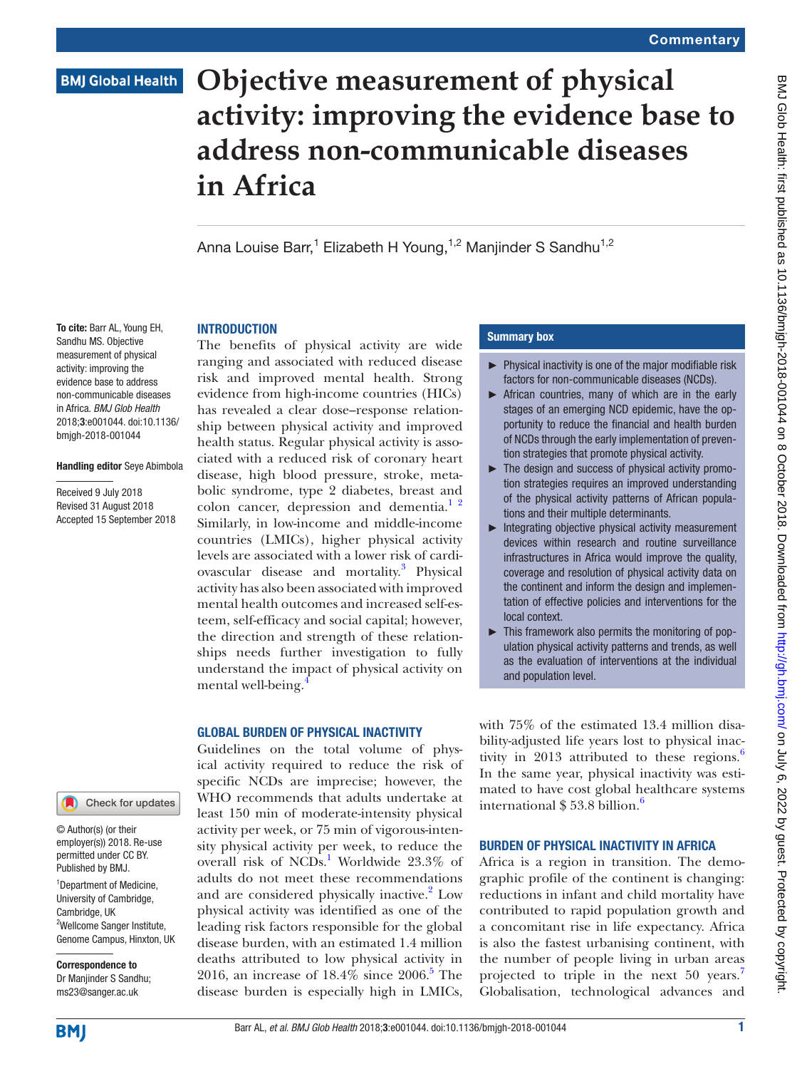# **BMJ Global Health**

# **Objective measurement of physical activity: improving the evidence base to address non-communicable diseases in Africa**

Anna Louise Barr,<sup>1</sup> Elizabeth H Young,<sup>1,2</sup> Manjinder S Sandhu<sup>1,2</sup>

### **INTRODUCTION**

To cite: Barr AL, Young EH, Sandhu MS. Objective measurement of physical activity: improving the evidence base to address non-communicable diseases in Africa. *BMJ Glob Health* 2018;3:e001044. doi:10.1136/ bmjgh-2018-001044

#### Handling editor Seye Abimbola

Received 9 July 2018 Revised 31 August 2018 Accepted 15 September 2018

#### Check for updates

© Author(s) (or their employer(s)) 2018. Re-use permitted under CC BY. Published by BMJ.

<sup>1</sup>Department of Medicine, University of Cambridge, Cambridge, UK <sup>2</sup>Wellcome Sanger Institute, Genome Campus, Hinxton, UK

Correspondence to Dr Manjinder S Sandhu; ms23@sanger.ac.uk

The benefits of physical activity are wide ranging and associated with reduced disease risk and improved mental health. Strong evidence from high-income countries (HICs) has revealed a clear dose–response relationship between physical activity and improved health status. Regular physical activity is associated with a reduced risk of coronary heart disease, high blood pressure, stroke, metabolic syndrome, type 2 diabetes, breast and colon cancer, depression and dementia.<sup>12</sup> Similarly, in low-income and middle-income countries (LMICs), higher physical activity levels are associated with a lower risk of cardi-ovascular disease and mortality.<sup>[3](#page-2-1)</sup> Physical activity has also been associated with improved mental health outcomes and increased self-esteem, self-efficacy and social capital; however, the direction and strength of these relationships needs further investigation to fully understand the impact of physical activity on mental well-being.<sup>4</sup>

#### Global burden of physical inactivity

Guidelines on the total volume of physical activity required to reduce the risk of specific NCDs are imprecise; however, the WHO recommends that adults undertake at least 150 min of moderate-intensity physical activity per week, or 75 min of vigorous-intensity physical activity per week, to reduce the overall risk of NCDs.<sup>[1](#page-2-0)</sup> Worldwide 23.3% of adults do not meet these recommendations and are considered physically inactive.<sup>2</sup> Low physical activity was identified as one of the leading risk factors responsible for the global disease burden, with an estimated 1.4 million deaths attributed to low physical activity in 2016, an increase of  $18.4\%$  since  $2006.<sup>5</sup>$  The disease burden is especially high in LMICs,

#### Summary box

- ► Physical inactivity is one of the major modifiable risk factors for non-communicable diseases (NCDs).
- ► African countries, many of which are in the early stages of an emerging NCD epidemic, have the opportunity to reduce the financial and health burden of NCDs through the early implementation of prevention strategies that promote physical activity.
- ► The design and success of physical activity promotion strategies requires an improved understanding of the physical activity patterns of African populations and their multiple determinants.
- ► Integrating objective physical activity measurement devices within research and routine surveillance infrastructures in Africa would improve the quality, coverage and resolution of physical activity data on the continent and inform the design and implementation of effective policies and interventions for the local context.
- ► This framework also permits the monitoring of population physical activity patterns and trends, as well as the evaluation of interventions at the individual and population level.

with 75% of the estimated 13.4 million disability-adjusted life years lost to physical inactivity in 2013 attributed to these regions. $6$ In the same year, physical inactivity was estimated to have cost global healthcare systems international  $$53.8$  billion.<sup>[6](#page-2-5)</sup>

### Burden of physical inactivity in Africa

Africa is a region in transition. The demographic profile of the continent is changing: reductions in infant and child mortality have contributed to rapid population growth and a concomitant rise in life expectancy. Africa is also the fastest urbanising continent, with the number of people living in urban areas projected to triple in the next 50 years.<sup>[7](#page-2-6)</sup> Globalisation, technological advances and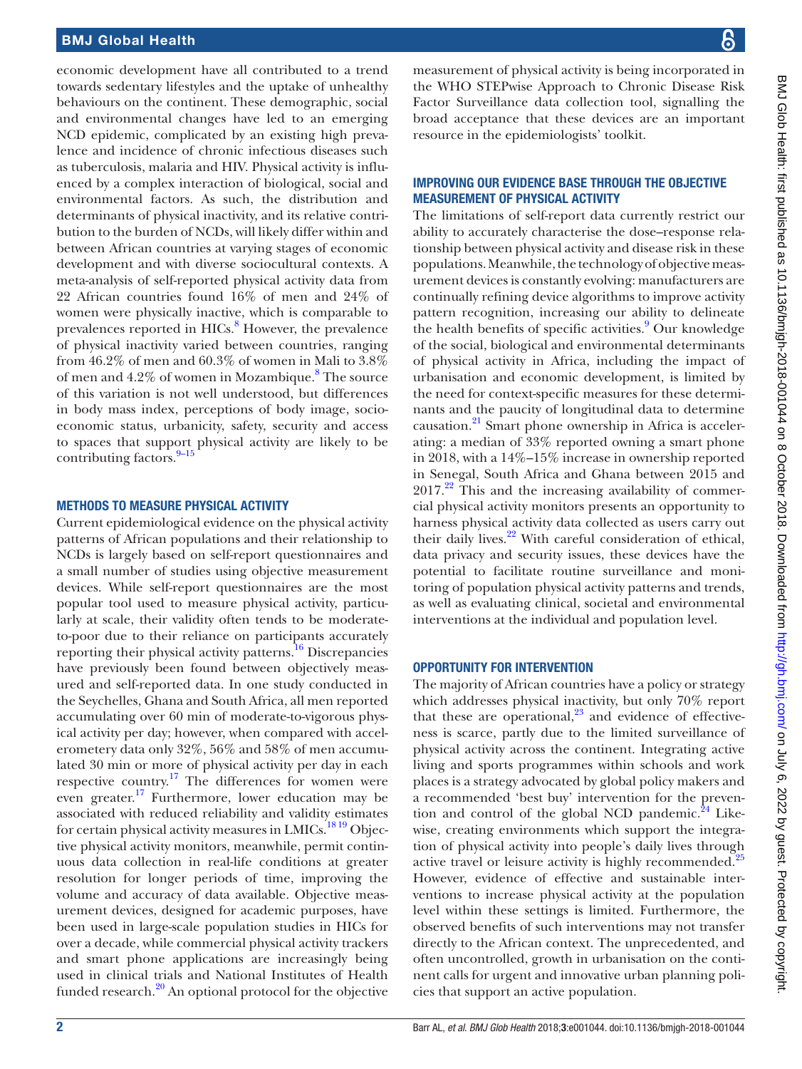economic development have all contributed to a trend towards sedentary lifestyles and the uptake of unhealthy behaviours on the continent. These demographic, social and environmental changes have led to an emerging NCD epidemic, complicated by an existing high prevalence and incidence of chronic infectious diseases such as tuberculosis, malaria and HIV. Physical activity is influenced by a complex interaction of biological, social and environmental factors. As such, the distribution and determinants of physical inactivity, and its relative contribution to the burden of NCDs, will likely differ within and between African countries at varying stages of economic development and with diverse sociocultural contexts. A meta-analysis of self-reported physical activity data from 22 African countries found 16% of men and 24% of women were physically inactive, which is comparable to prevalences reported in HICs.<sup>8</sup> However, the prevalence of physical inactivity varied between countries, ranging from 46.2% of men and 60.3% of women in Mali to 3.8% of men and 4.2% of women in Mozambique.<sup>8</sup> The source of this variation is not well understood, but differences in body mass index, perceptions of body image, socioeconomic status, urbanicity, safety, security and access to spaces that support physical activity are likely to be contributing factors.<sup>9-15</sup>

#### Methods to measure physical activity

Current epidemiological evidence on the physical activity patterns of African populations and their relationship to NCDs is largely based on self-report questionnaires and a small number of studies using objective measurement devices. While self-report questionnaires are the most popular tool used to measure physical activity, particularly at scale, their validity often tends to be moderateto-poor due to their reliance on participants accurately reporting their physical activity patterns.<sup>16</sup> Discrepancies have previously been found between objectively measured and self-reported data. In one study conducted in the Seychelles, Ghana and South Africa, all men reported accumulating over 60 min of moderate-to-vigorous physical activity per day; however, when compared with accelerometery data only 32%, 56% and 58% of men accumulated 30 min or more of physical activity per day in each respective country.[17](#page-2-10) The differences for women were even greater.<sup>17</sup> Furthermore, lower education may be associated with reduced reliability and validity estimates for certain physical activity measures in LMICs.<sup>1819</sup> Objective physical activity monitors, meanwhile, permit continuous data collection in real-life conditions at greater resolution for longer periods of time, improving the volume and accuracy of data available. Objective measurement devices, designed for academic purposes, have been used in large-scale population studies in HICs for over a decade, while commercial physical activity trackers and smart phone applications are increasingly being used in clinical trials and National Institutes of Health funded research. $^{20}$  $^{20}$  $^{20}$  An optional protocol for the objective

measurement of physical activity is being incorporated in the WHO STEPwise Approach to Chronic Disease Risk Factor Surveillance data collection tool, signalling the broad acceptance that these devices are an important resource in the epidemiologists' toolkit.

## Improving our evidence base through the objective measurement of physical activity

The limitations of self-report data currently restrict our ability to accurately characterise the dose–response relationship between physical activity and disease risk in these populations. Meanwhile, the technology of objective measurement devices is constantly evolving: manufacturers are continually refining device algorithms to improve activity pattern recognition, increasing our ability to delineate the health benefits of specific activities.<sup>[9](#page-2-8)</sup> Our knowledge of the social, biological and environmental determinants of physical activity in Africa, including the impact of urbanisation and economic development, is limited by the need for context-specific measures for these determinants and the paucity of longitudinal data to determine causation.[21](#page-2-13) Smart phone ownership in Africa is accelerating: a median of 33% reported owning a smart phone in 2018, with a 14%–15% increase in ownership reported in Senegal, South Africa and Ghana between 2015 and  $2017.<sup>22</sup>$  $2017.<sup>22</sup>$  $2017.<sup>22</sup>$  This and the increasing availability of commercial physical activity monitors presents an opportunity to harness physical activity data collected as users carry out their daily lives. $22$  With careful consideration of ethical, data privacy and security issues, these devices have the potential to facilitate routine surveillance and monitoring of population physical activity patterns and trends, as well as evaluating clinical, societal and environmental interventions at the individual and population level.

### Opportunity for intervention

The majority of African countries have a policy or strategy which addresses physical inactivity, but only 70% report that these are operational, $23$  and evidence of effectiveness is scarce, partly due to the limited surveillance of physical activity across the continent. Integrating active living and sports programmes within schools and work places is a strategy advocated by global policy makers and a recommended 'best buy' intervention for the prevention and control of the global NCD pandemic. $^{24}$  Likewise, creating environments which support the integration of physical activity into people's daily lives through active travel or leisure activity is highly recommended.<sup>[25](#page-3-0)</sup> However, evidence of effective and sustainable interventions to increase physical activity at the population level within these settings is limited. Furthermore, the observed benefits of such interventions may not transfer directly to the African context. The unprecedented, and often uncontrolled, growth in urbanisation on the continent calls for urgent and innovative urban planning policies that support an active population.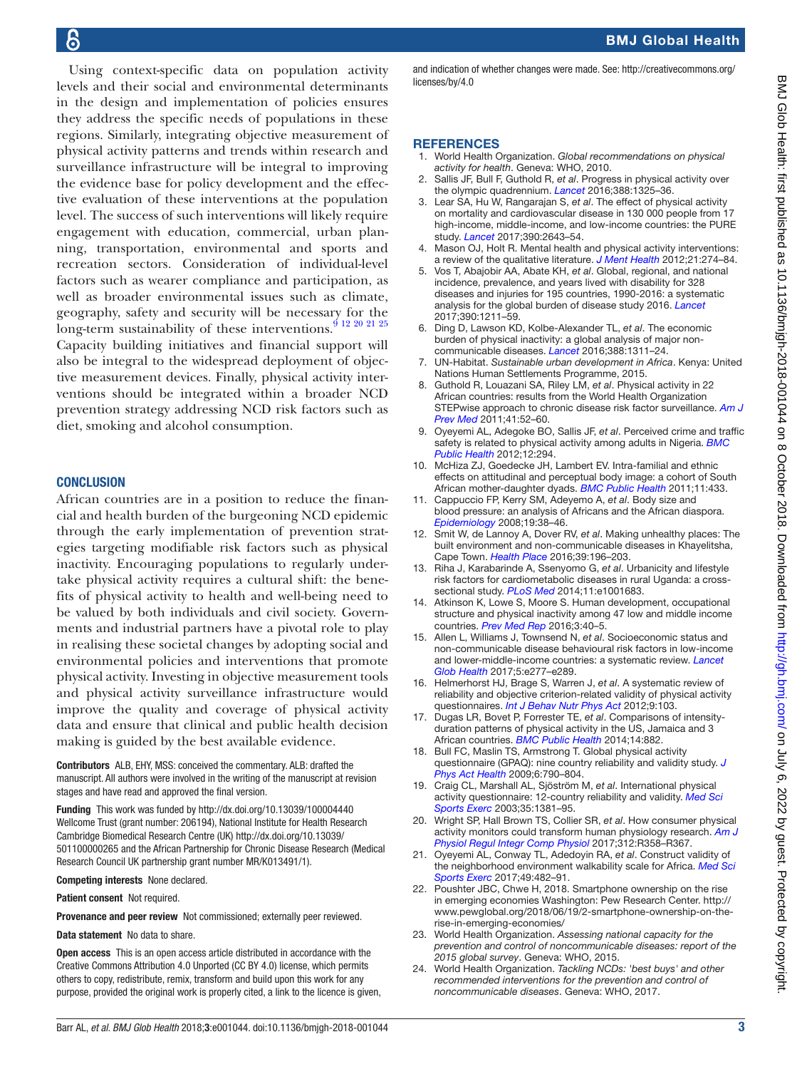Using context-specific data on population activity levels and their social and environmental determinants in the design and implementation of policies ensures they address the specific needs of populations in these regions. Similarly, integrating objective measurement of physical activity patterns and trends within research and surveillance infrastructure will be integral to improving the evidence base for policy development and the effective evaluation of these interventions at the population level. The success of such interventions will likely require engagement with education, commercial, urban planning, transportation, environmental and sports and recreation sectors. Consideration of individual-level factors such as wearer compliance and participation, as well as broader environmental issues such as climate, geography, safety and security will be necessary for the long-term sustainability of these interventions. $9^{12}$   $20$   $21$   $25$ Capacity building initiatives and financial support will also be integral to the widespread deployment of objective measurement devices. Finally, physical activity interventions should be integrated within a broader NCD prevention strategy addressing NCD risk factors such as diet, smoking and alcohol consumption.

#### **CONCLUSION**

African countries are in a position to reduce the financial and health burden of the burgeoning NCD epidemic through the early implementation of prevention strategies targeting modifiable risk factors such as physical inactivity. Encouraging populations to regularly undertake physical activity requires a cultural shift: the benefits of physical activity to health and well-being need to be valued by both individuals and civil society. Governments and industrial partners have a pivotal role to play in realising these societal changes by adopting social and environmental policies and interventions that promote physical activity. Investing in objective measurement tools and physical activity surveillance infrastructure would improve the quality and coverage of physical activity data and ensure that clinical and public health decision making is guided by the best available evidence.

Contributors ALB, EHY, MSS: conceived the commentary. ALB: drafted the manuscript. All authors were involved in the writing of the manuscript at revision stages and have read and approved the final version.

Funding This work was funded by <http://dx.doi.org/10.13039/100004440> Wellcome Trust (grant number: 206194), National Institute for Health Research Cambridge Biomedical Research Centre (UK) [http://dx.doi.org/10.13039/](http://dx.doi.org/10.13039/501100000265) [501100000265](http://dx.doi.org/10.13039/501100000265) and the African Partnership for Chronic Disease Research (Medical Research Council UK partnership grant number MR/K013491/1).

Competing interests None declared.

Patient consent Not required.

Provenance and peer review Not commissioned; externally peer reviewed.

Data statement No data to share.

Open access This is an open access article distributed in accordance with the Creative Commons Attribution 4.0 Unported (CC BY 4.0) license, which permits others to copy, redistribute, remix, transform and build upon this work for any purpose, provided the original work is properly cited, a link to the licence is given,

BMJ Global Health and indication of whether changes were made. See: [http://creativecommons.org/](http://creativecommons.org/licenses/by/4.0)

**REFERENCES** 

[licenses/by/4.0](http://creativecommons.org/licenses/by/4.0)

- <span id="page-2-0"></span>1. World Health Organization. *Global recommendations on physical activity for health*. Geneva: WHO, 2010.
- <span id="page-2-3"></span>2. Sallis JF, Bull F, Guthold R, *et al*. Progress in physical activity over the olympic quadrennium. *[Lancet](http://dx.doi.org/10.1016/S0140-6736(16)30581-5)* 2016;388:1325–36.
- <span id="page-2-1"></span>3. Lear SA, Hu W, Rangarajan S, *et al*. The effect of physical activity on mortality and cardiovascular disease in 130 000 people from 17 high-income, middle-income, and low-income countries: the PURE study. *[Lancet](http://dx.doi.org/10.1016/S0140-6736(17)31634-3)* 2017;390:2643–54.
- <span id="page-2-2"></span>Mason OJ, Holt R. Mental health and physical activity interventions: a review of the qualitative literature. *[J Ment Health](http://dx.doi.org/10.3109/09638237.2011.648344)* 2012;21:274–84.
- <span id="page-2-4"></span>5. Vos T, Abajobir AA, Abate KH, *et al*. Global, regional, and national incidence, prevalence, and years lived with disability for 328 diseases and injuries for 195 countries, 1990-2016: a systematic analysis for the global burden of disease study 2016. *[Lancet](http://dx.doi.org/10.1016/S0140-6736(17)32154-2)* 2017;390:1211–59.
- <span id="page-2-5"></span>6. Ding D, Lawson KD, Kolbe-Alexander TL, *et al*. The economic burden of physical inactivity: a global analysis of major noncommunicable diseases. *[Lancet](http://dx.doi.org/10.1016/S0140-6736(16)30383-X)* 2016;388:1311–24.
- <span id="page-2-6"></span>7. UN-Habitat. *Sustainable urban development in Africa*. Kenya: United Nations Human Settlements Programme, 2015.
- <span id="page-2-7"></span>8. Guthold R, Louazani SA, Riley LM, *et al*. Physical activity in 22 African countries: results from the World Health Organization STEPwise approach to chronic disease risk factor surveillance. *[Am J](http://dx.doi.org/10.1016/j.amepre.2011.03.008)  [Prev Med](http://dx.doi.org/10.1016/j.amepre.2011.03.008)* 2011;41:52–60.
- <span id="page-2-8"></span>9. Oyeyemi AL, Adegoke BO, Sallis JF, *et al*. Perceived crime and traffic safety is related to physical activity among adults in Nigeria. *[BMC](http://dx.doi.org/10.1186/1471-2458-12-294)  [Public Health](http://dx.doi.org/10.1186/1471-2458-12-294)* 2012;12:294.
- 10. McHiza ZJ, Goedecke JH, Lambert EV. Intra-familial and ethnic effects on attitudinal and perceptual body image: a cohort of South African mother-daughter dyads. *[BMC Public Health](http://dx.doi.org/10.1186/1471-2458-11-433)* 2011;11:433.
- 11. Cappuccio FP, Kerry SM, Adeyemo A, *et al*. Body size and blood pressure: an analysis of Africans and the African diaspora. *[Epidemiology](http://dx.doi.org/10.1097/EDE.0b013e31815c4d2c)* 2008;19:38–46.
- 12. Smit W, de Lannoy A, Dover RV, *et al*. Making unhealthy places: The built environment and non-communicable diseases in Khayelitsha, Cape Town. *[Health Place](http://dx.doi.org/10.1016/j.healthplace.2016.04.006)* 2016;39:196–203.
- 13. Riha J, Karabarinde A, Ssenyomo G, *et al*. Urbanicity and lifestyle risk factors for cardiometabolic diseases in rural Uganda: a crosssectional study. *[PLoS Med](http://dx.doi.org/10.1371/journal.pmed.1001683)* 2014;11:e1001683.
- 14. Atkinson K, Lowe S, Moore S. Human development, occupational structure and physical inactivity among 47 low and middle income countries. *[Prev Med Rep](http://dx.doi.org/10.1016/j.pmedr.2015.11.009)* 2016;3:40–5.
- 15. Allen L, Williams J, Townsend N, *et al*. Socioeconomic status and non-communicable disease behavioural risk factors in low-income and lower-middle-income countries: a systematic review. *[Lancet](http://dx.doi.org/10.1016/S2214-109X(17)30058-X)  [Glob Health](http://dx.doi.org/10.1016/S2214-109X(17)30058-X)* 2017;5:e277–e289.
- <span id="page-2-9"></span>16. Helmerhorst HJ, Brage S, Warren J, *et al*. A systematic review of reliability and objective criterion-related validity of physical activity questionnaires. *[Int J Behav Nutr Phys Act](http://dx.doi.org/10.1186/1479-5868-9-103)* 2012;9:103.
- <span id="page-2-10"></span>17. Dugas LR, Bovet P, Forrester TE, *et al*. Comparisons of intensityduration patterns of physical activity in the US, Jamaica and 3 African countries. *[BMC Public Health](http://dx.doi.org/10.1186/1471-2458-14-882)* 2014;14:882.
- <span id="page-2-11"></span>18. Bull FC, Maslin TS, Armstrong T. Global physical activity questionnaire (GPAQ): nine country reliability and validity study. *[J](http://www.ncbi.nlm.nih.gov/pubmed/20101923)  [Phys Act Health](http://www.ncbi.nlm.nih.gov/pubmed/20101923)* 2009;6:790–804.
- 19. Craig CL, Marshall AL, Sjöström M, *et al*. International physical activity questionnaire: 12-country reliability and validity. *[Med Sci](http://dx.doi.org/10.1249/01.MSS.0000078924.61453.FB)  [Sports Exerc](http://dx.doi.org/10.1249/01.MSS.0000078924.61453.FB)* 2003;35:1381–95.
- <span id="page-2-12"></span>20. Wright SP, Hall Brown TS, Collier SR, *et al*. How consumer physical activity monitors could transform human physiology research. *[Am J](http://dx.doi.org/10.1152/ajpregu.00349.2016)  [Physiol Regul Integr Comp Physiol](http://dx.doi.org/10.1152/ajpregu.00349.2016)* 2017;312:R358–R367.
- <span id="page-2-13"></span>21. Oyeyemi AL, Conway TL, Adedoyin RA, *et al*. Construct validity of the neighborhood environment walkability scale for Africa. *[Med Sci](http://dx.doi.org/10.1249/MSS.0000000000001131)  [Sports Exerc](http://dx.doi.org/10.1249/MSS.0000000000001131)* 2017;49:482–91.
- <span id="page-2-14"></span>22. Poushter JBC, Chwe H, 2018. Smartphone ownership on the rise in emerging economies Washington: Pew Research Center. [http://](http://www.pewglobal.org/2018/06/19/2-smartphone-ownership-on-the-rise-in-emerging-economies/) [www.pewglobal.org/2018/06/19/2-smartphone-ownership-on-the](http://www.pewglobal.org/2018/06/19/2-smartphone-ownership-on-the-rise-in-emerging-economies/)[rise-in-emerging-economies/](http://www.pewglobal.org/2018/06/19/2-smartphone-ownership-on-the-rise-in-emerging-economies/)
- <span id="page-2-15"></span>23. World Health Organization. *Assessing national capacity for the prevention and control of noncommunicable diseases: report of the 2015 global survey*. Geneva: WHO, 2015.
- <span id="page-2-16"></span>24. World Health Organization. *Tackling NCDs: 'best buys' and other recommended interventions for the prevention and control of noncommunicable diseases*. Geneva: WHO, 2017.